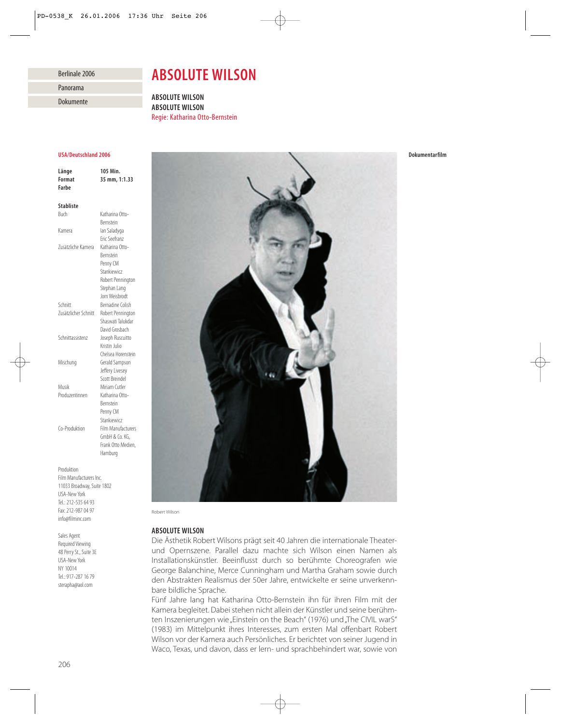## Berlinale 2006

Panorama

Dokumente

# *ABSOLUTE WILSON*

*ABSOLUTE WILSON ABSOLUTE WILSON* Regie: Katharina Otto-Bernstein

## *USA/Deutschland 2006*

*Länge 105 Min. Format 35 mm, 1:1.33 Farbe Stabliste* Buch Katharina Otto-Bernstein Kamera Ian Saladyga Eric Seefranz<br>Katharina Otto-Zusätzliche Kamera Bernstein Penny CM Stankiewicz Robert Pennington Stephan Lang Jorn Weisbrodt Schnitt Bernadine Colish Zusätzlicher Schnitt Robert Pennington Shaswati Talukdar David Grosbach Schnittassistenz Joseph Ruscuitto Kristin Julio Chelsea Horenstein Mischung Gerald Sampson Jeffery Livesey Scott Breindel Musik Miriam Cutler Produzentinnen Katharina Otto-Bernstein Penny CM **Stankiewicz** Co-Produktion Film Manufacturers GmbH & Co. KG, Frank Otto Medien, Hamburg Produktion

Film Manufacturers Inc. 11033 Broadway, Suite 1802 USA-New York Tel.: 212-535 64 93 Fax: 212-987 04 97 info@filminc.com

Sales Agent Required Viewing 48 Perry St., Suite 3E USA-New York NY 10014 Tel.: 917-287 16 79 sterapha@aol.com



Robert Wilson

# *ABSOLUTE WILSON*

Die Ästhetik Robert Wilsons prägt seit 40 Jahren die internationale Theaterund Opernszene. Parallel dazu machte sich Wilson einen Namen als Installationskünstler. Beeinflusst durch so berühmte Choreografen wie George Balanchine, Merce Cunningham und Martha Graham sowie durch den Abstrakten Realismus der 50er Jahre, entwickelte er seine unverkennbare bildliche Sprache.

Fünf Jahre lang hat Katharina Otto-Bernstein ihn für ihren Film mit der Kamera begleitet. Dabei stehen nicht allein der Künstler und seine berühmten Inszenierungen wie "Einstein on the Beach" (1976) und "The CIVIL warS" (1983) im Mittelpunkt ihres Interesses, zum ersten Mal offenbart Robert Wilson vor der Kamera auch Persönliches. Er berichtet von seiner Jugend in Waco, Texas, und davon, dass er lern- und sprachbehindert war, sowie von *Dokumentarfilm*